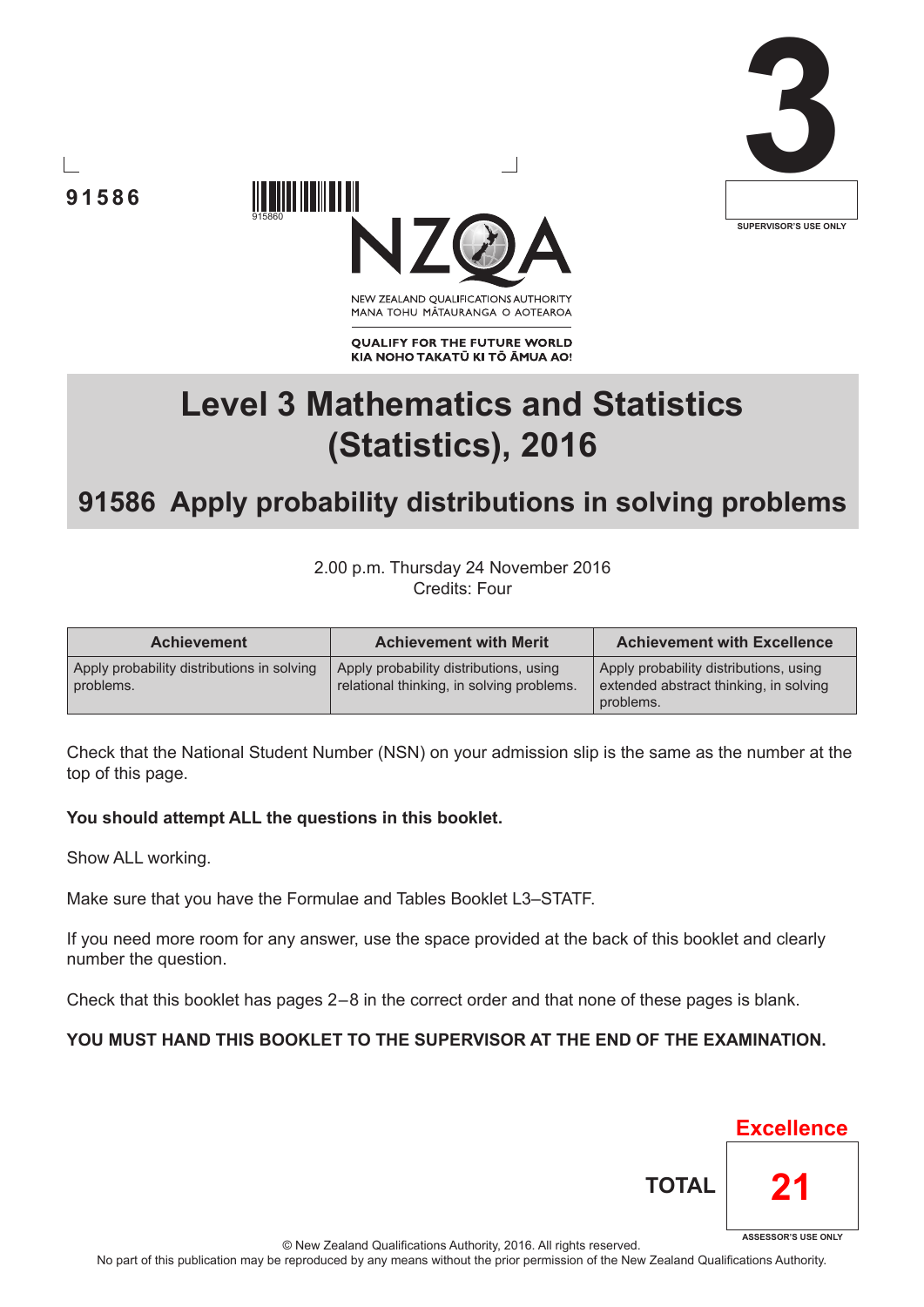





NEW ZEALAND OUALIFICATIONS AUTHORITY MANA TOHU MĀTAURANGA O AOTEAROA

**QUALIFY FOR THE FUTURE WORLD** KIA NOHO TAKATŪ KI TŌ ĀMUA AO!

# **Level 3 Mathematics and Statistics (Statistics), 2016**

## **91586 Apply probability distributions in solving problems**

2.00 p.m. Thursday 24 November 2016 Credits: Four

| <b>Achievement</b>                                      | <b>Achievement with Merit</b>                                                       | <b>Achievement with Excellence</b>                                                            |  |  |
|---------------------------------------------------------|-------------------------------------------------------------------------------------|-----------------------------------------------------------------------------------------------|--|--|
| Apply probability distributions in solving<br>problems. | Apply probability distributions, using<br>relational thinking, in solving problems. | Apply probability distributions, using<br>extended abstract thinking, in solving<br>problems. |  |  |

Check that the National Student Number (NSN) on your admission slip is the same as the number at the top of this page.

#### **You should attempt ALL the questions in this booklet.**

Show ALL working.

Make sure that you have the Formulae and Tables Booklet L3–STATF.

If you need more room for any answer, use the space provided at the back of this booklet and clearly number the question.

Check that this booklet has pages 2 – 8 in the correct order and that none of these pages is blank.

#### **YOU MUST HAND THIS BOOKLET TO THE SUPERVISOR AT THE END OF THE EXAMINATION.**

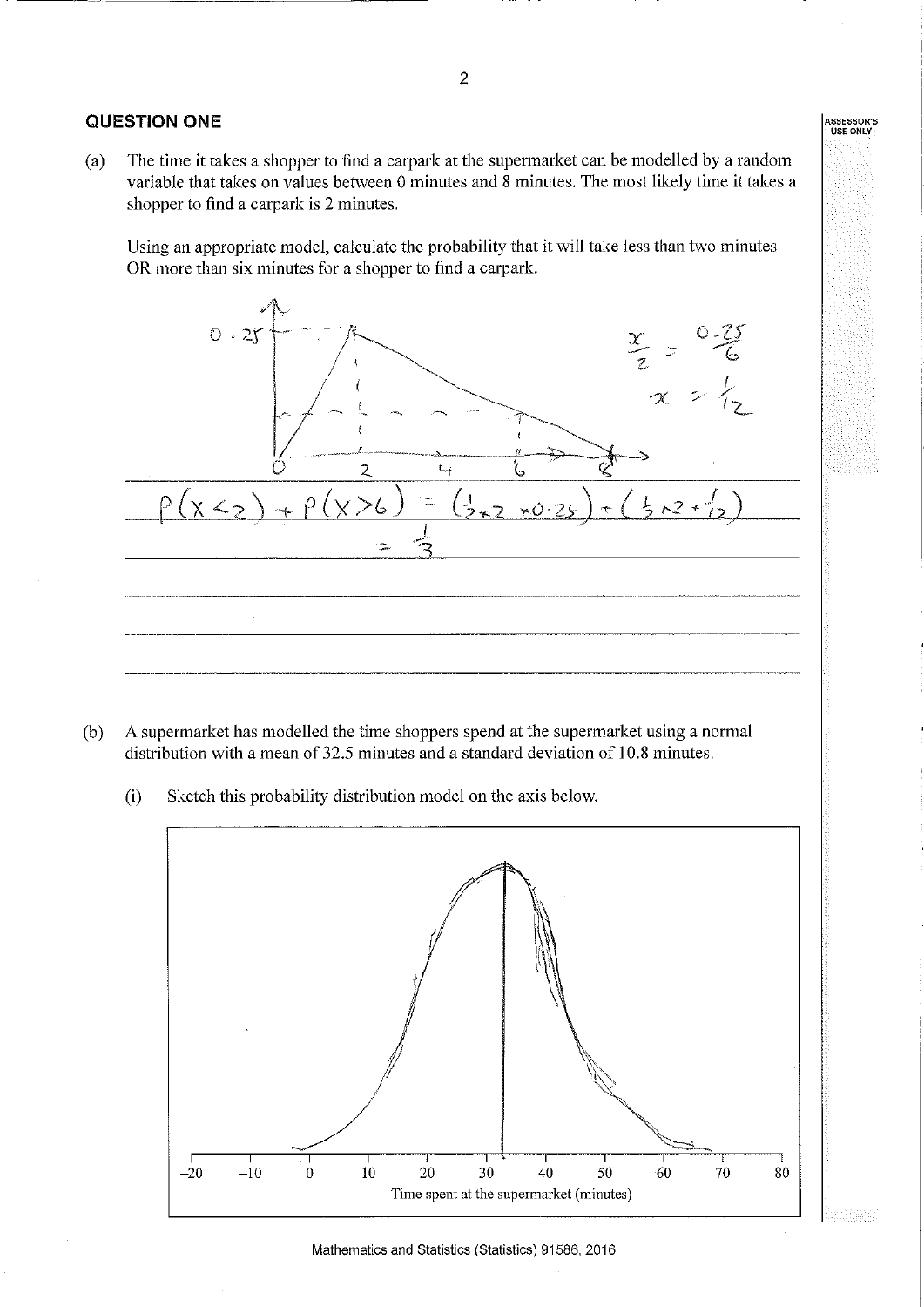#### **QUESTION ONE**

The time it takes a shopper to find a carpark at the supermarket can be modelled by a random  $(a)$ variable that takes on values between 0 minutes and 8 minutes. The most likely time it takes a shopper to find a carpark is 2 minutes.

Using an appropriate model, calculate the probability that it will take less than two minutes OR more than six minutes for a shopper to find a carpark.



- A supermarket has modelled the time shoppers spend at the supermarket using a normal (b) distribution with a mean of 32.5 minutes and a standard deviation of 10.8 minutes.
	- Sketch this probability distribution model on the axis below.  $(i)$



ASSESSOR'<mark>S</mark><br>USE ONLY

istike q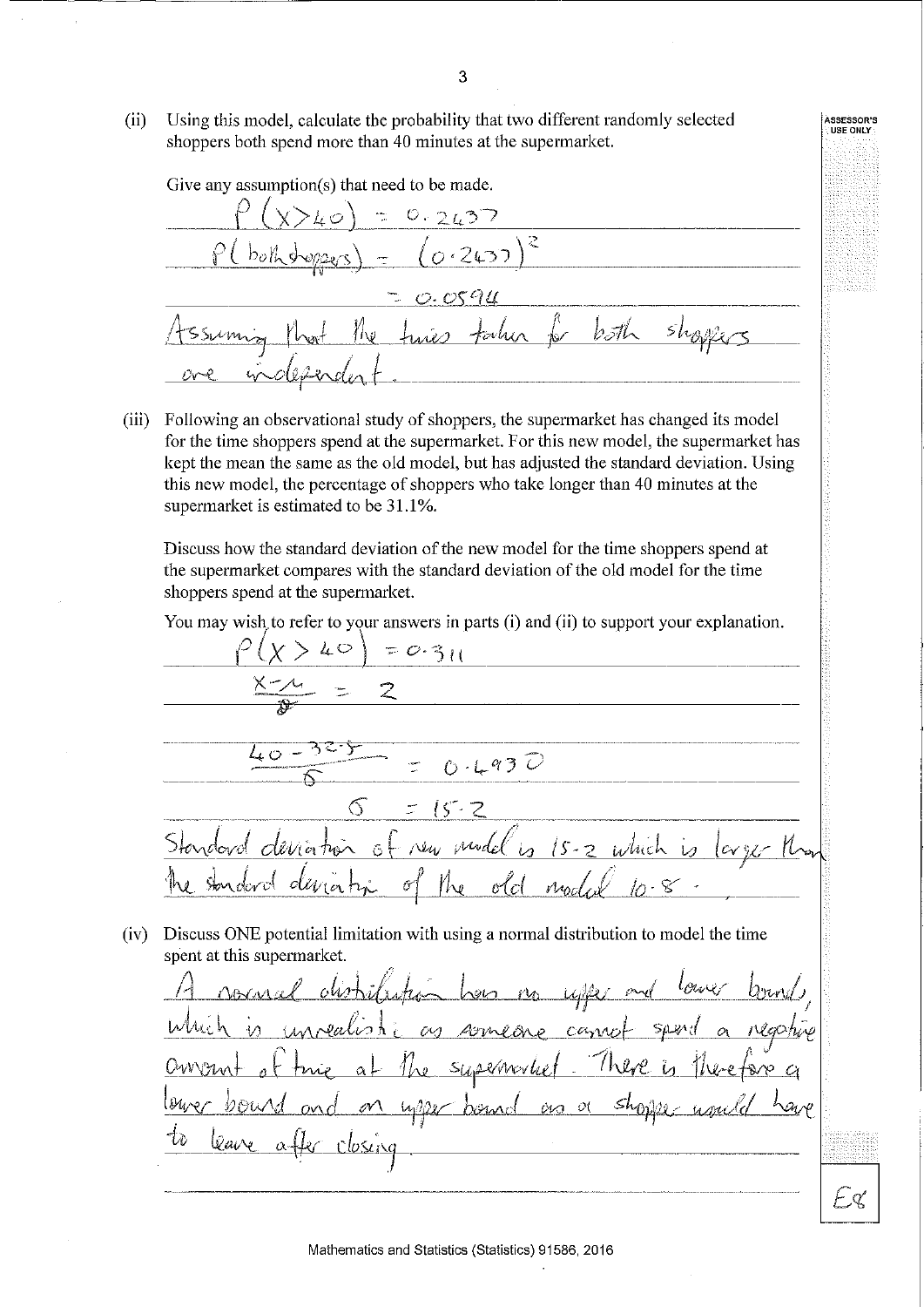Using this model, calculate the probability that two different randomly selected  $(ii)$ shoppers both spend more than 40 minutes at the supermarket.

Give any assumption(s) that need to be made.  $0.2637$  $0.2437$ 0.0596 tocher for both  $\int\!\!\!\!\!\int\! \varphi$ 

(iii) Following an observational study of shoppers, the supermarket has changed its model for the time shoppers spend at the supermarket. For this new model, the supermarket has kept the mean the same as the old model, but has adjusted the standard deviation. Using this new model, the percentage of shoppers who take longer than 40 minutes at the supermarket is estimated to be 31.1%.

Discuss how the standard deviation of the new model for the time shoppers spend at the supermarket compares with the standard deviation of the old model for the time shoppers spend at the supermarket.

You may wish to refer to your answers in parts (i) and (ii) to support your explanation.

 $(x > 40) = 0.311$  $2$   $\overline{\phantom{a}}$  $\frac{1}{20.4930}$  $\Im$  $15.7$ new model is 15-2 which is  $lowy \in \mathcal{H}_{\infty}$  $ol$ node ľW (iv) Discuss ONE potential limitation with using a normal distribution to model the time spent at this supermarket. <u>ses no uller</u>  $\sim$ someone camp  $\omega$ he supernorbet There is upper bound as a shopper leave

Mathematics and Statistics (Statistics) 91586, 2016

ASSESSOR'S<br>QUSE ONLY

Fх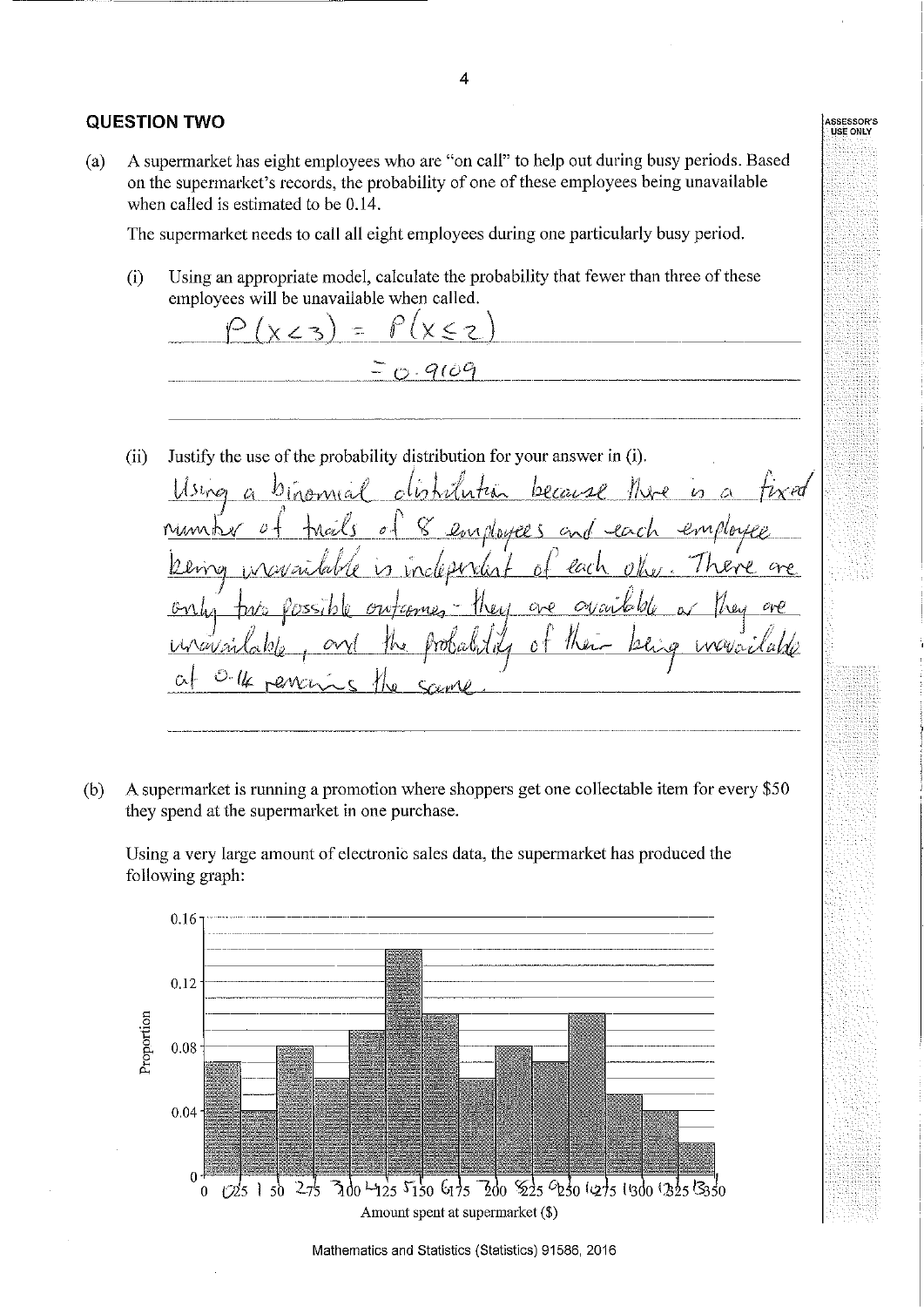#### **QUESTION TWO**

A supermarket has eight employees who are "on call" to help out during busy periods. Based  $(a)$ on the supermarket's records, the probability of one of these employees being unavailable when called is estimated to be 0.14.

The supermarket needs to call all eight employees during one particularly busy period.

Using an appropriate model, calculate the probability that fewer than three of these  $(i)$ employees will be unavailable when called.

 $\widehat{r}$  $(x < 2)$  $\equiv$  $-900$ 

Justify the use of the probability distribution for your answer in (i).  $(ii)$ 

 $11$ sines  $\mathcal{V}_1$ because v ed  $\mathcal{L}$  $\overline{v}$ Num b  $\mathcal{O}$ en doutes  $Q_{\mathcal{N}}$ loi.  $O_{V}$  $c<sub>1</sub>$  $\hat{\omega}$ ₩ الممارك

A supermarket is running a promotion where shoppers get one collectable item for every \$50  $(b)$ they spend at the supermarket in one purchase.

Using a very large amount of electronic sales data, the supermarket has produced the following graph:



Mathematics and Statistics (Statistics) 91586, 2016

4

**ASSESSOR'S**<br>USE ONLY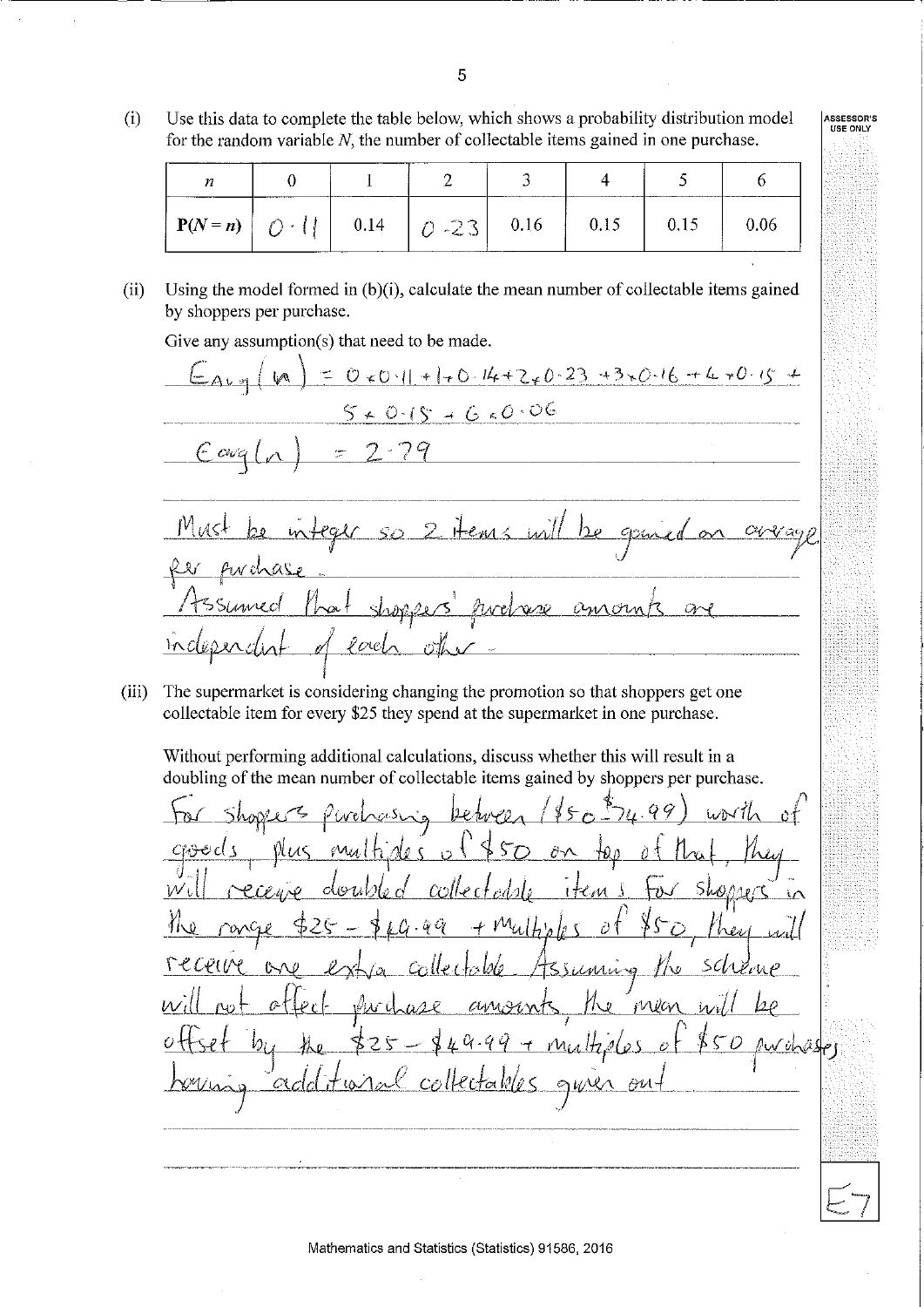$(i)$ Use this data to complete the table below, which shows a probability distribution model for the random variable  $N$ , the number of collectable items gained in one purchase.

| п                          |      | ------------- |      |      |  |
|----------------------------|------|---------------|------|------|--|
| $P(N=n)$ $\bigcap$ $\cdot$ | 0.14 | $0 - 23$      | 0.16 | U.IJ |  |

ASSESSOR'S<br>USE ONLY

Using the model formed in  $(b)(i)$ , calculate the mean number of collectable items gained  $(ii)$ by shoppers per purchase.

Give any assumption(s) that need to be made.

 $= 0 * 0.11 + 1 * 0.14 + 2 * 0.23 + 3 * 0.16 + 4 * 0.15 +$  $A \cup \infty$  $50.015 + 60.006$ Hems will  $SO$  $\alpha$ po  $O_{MA}$  $Q - 1$ 

The supermarket is considering changing the promotion so that shoppers get one  $(iii)$ collectable item for every \$25 they spend at the supermarket in one purchase.

Without performing additional calculations, discuss whether this will result in a doubling of the mean number of collectable items gained by shoppers per purchase.

اح ہن  $M_A$  $\partial \! \! \! \! \! \! \wedge$ Ò 0 ming とばい トームに Ÿ MVan  $\nu_i$ <u>I multides</u> أطلائها  $\overline{\mathcal{O}}$ 

5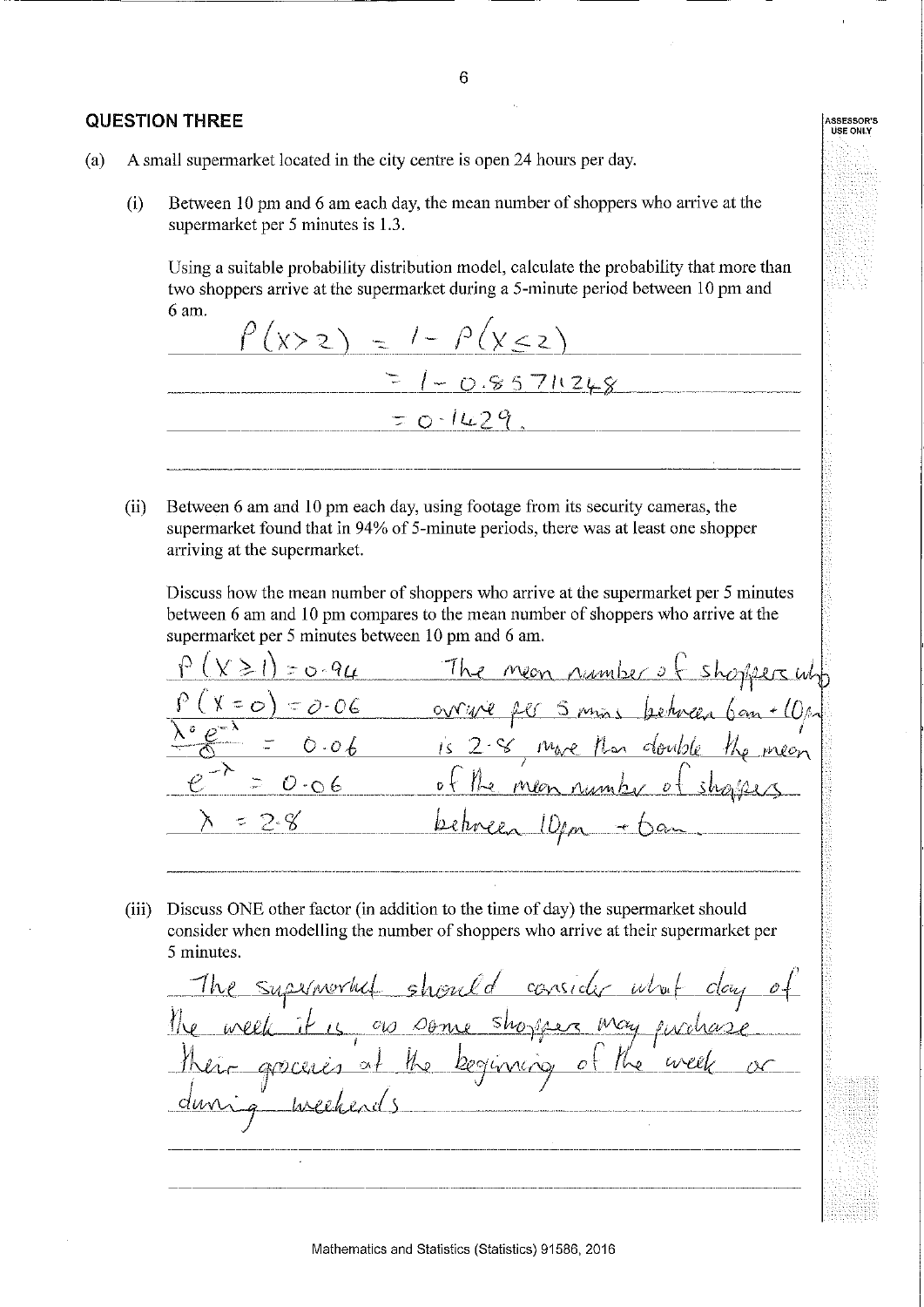#### **QUESTION THREE**

Between 10 pm and 6 am each day, the mean number of shoppers who arrive at the  $(i)$ supermarket per 5 minutes is 1.3.

Using a suitable probability distribution model, calculate the probability that more than two shoppers arrive at the supermarket during a 5-minute period between 10 pm and 6 am.

 $\int (x > z) = 1 - \int (x < z)$ =  $1 - 0.85711248$  $=0.1429$ 

 $(ii)$ Between 6 am and 10 pm each day, using footage from its security cameras, the supermarket found that in 94% of 5-minute periods, there was at least one shopper arriving at the supermarket.

Discuss how the mean number of shoppers who arrive at the supermarket per 5 minutes between 6 am and 10 pm compares to the mean number of shoppers who arrive at the supermarket per 5 minutes between 10 pm and 6 am.

 $0 - 94$ The neon number of 8 mare doubli Me

(iii) Discuss ONE other factor (in addition to the time of day) the supermarket should consider when modelling the number of shoppers who arrive at their supermarket per 5 minutes.

The supernoral should consider what e week it is as some shopper may produce groceres at the beginning of the week

ASSESSOR'S<br>USE ONLY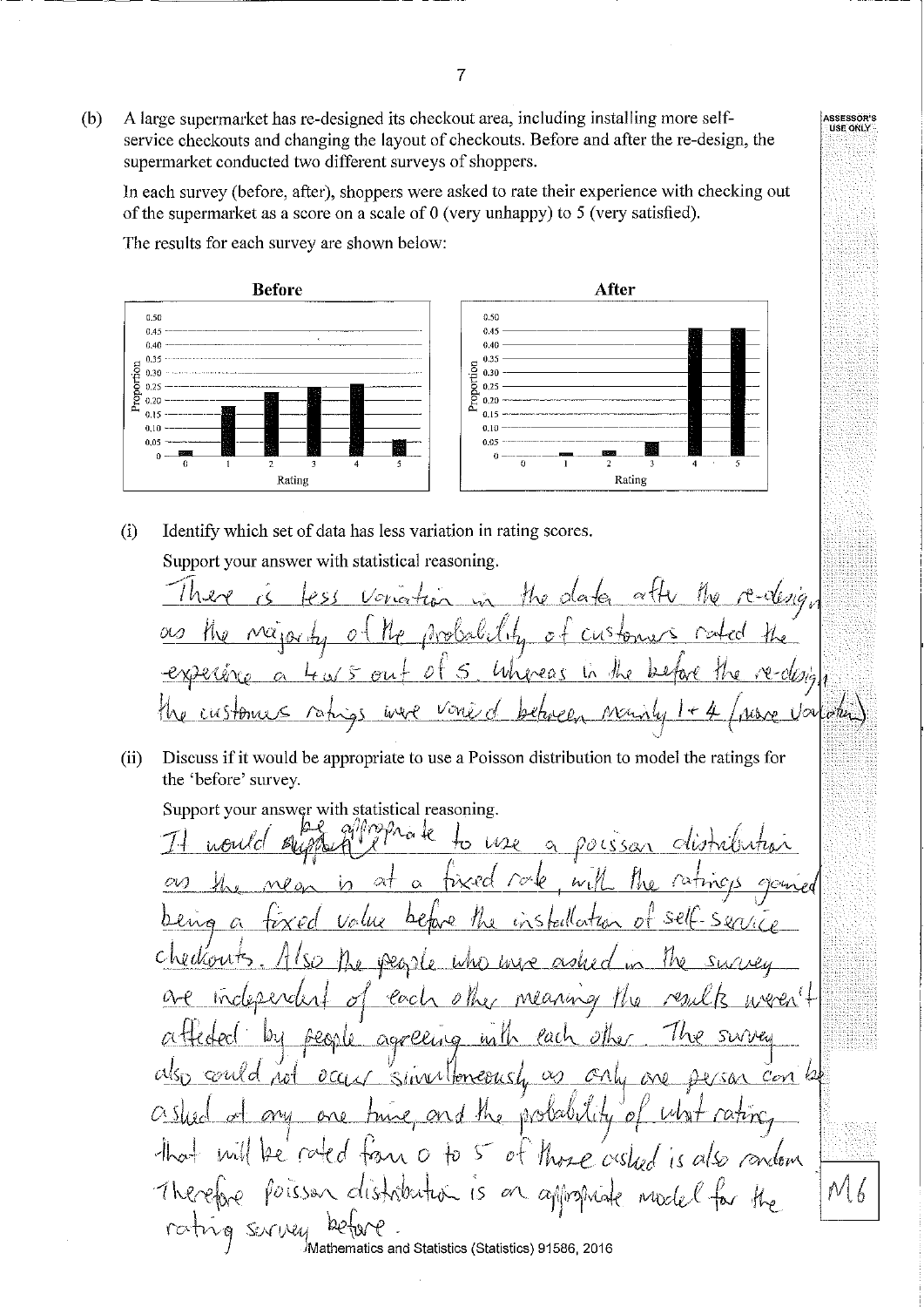A large supermarket has re-designed its checkout area, including installing more self- $(b)$ service checkouts and changing the layout of checkouts. Before and after the re-design, the supermarket conducted two different surveys of shoppers.

In each survey (before, after), shoppers were asked to rate their experience with checking out of the supermarket as a score on a scale of  $0$  (very unhappy) to  $5$  (very satisfied).

The results for each survey are shown below:



 $(i)$ Identify which set of data has less variation in rating scores.

Support your answer with statistical reasoning.

 $(ii)$ Discuss if it would be appropriate to use a Poisson distribution to model the ratings for the 'before' survey.

Support your answer with statistical reasoning.

∟ò √e  $U22$  $\hat{O}$ OLS 0l  $\alpha$  $\alpha$ wa 77 w  $\Omega$ Ŝ € ACA J -lo cl  $\mathscr{O}$  Th Ml anin agreling fach Î ina Ur ozwld  $\partial C$ Wittereaus  $\infty$ MI.  $c_{\nu\lambda}$  $\mathbb{R}$ orni <u>ABROUGH</u>  $OV$  $0 - 0$  $\frac{1}{2}$ جھا  $\sim o$ S Prose ors  $\dagger \hat{v}$ οt *rondom*  $N6$ rati SENTINU Mathematics and Statistics (Statistics) 91586, 2016

ASSESSOR'S<br>MUSE ONLY